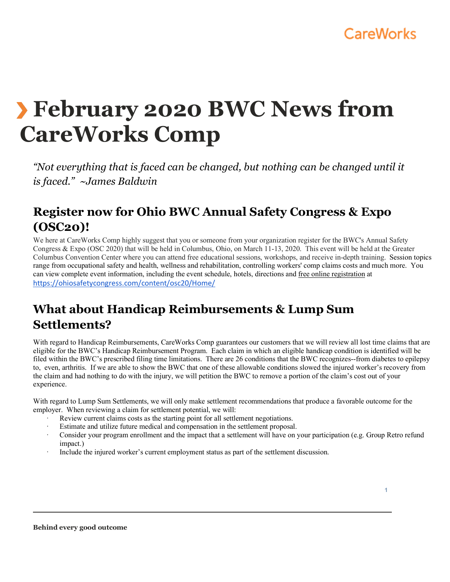

# **February 2020 BWC News from CareWorks Comp**

*"Not everything that is faced can be changed, but nothing can be changed until it is faced." ~James Baldwin* 

## **Register now for Ohio BWC Annual Safety Congress & Expo (OSC20)!**

We here at CareWorks Comp highly suggest that you or someone from your organization register for the BWC's Annual Safety Congress & Expo (OSC 2020) that will be held in Columbus, Ohio, on March 11-13, 2020. This event will be held at the Greater Columbus Convention Center where you can attend free educational sessions, workshops, and receive in-depth training. Session topics range from occupational safety and health, wellness and rehabilitation, controlling workers' comp claims costs and much more. You can view complete event information, including the event schedule, hotels, directions and free online registration at https://ohiosafetycongress.com/content/osc20/Home/

## **What about Handicap Reimbursements & Lump Sum Settlements?**

With regard to Handicap Reimbursements, CareWorks Comp guarantees our customers that we will review all lost time claims that are eligible for the BWC's Handicap Reimbursement Program. Each claim in which an eligible handicap condition is identified will be filed within the BWC's prescribed filing time limitations. There are 26 conditions that the BWC recognizes--from diabetes to epilepsy to, even, arthritis. If we are able to show the BWC that one of these allowable conditions slowed the injured worker's recovery from the claim and had nothing to do with the injury, we will petition the BWC to remove a portion of the claim's cost out of your experience.

With regard to Lump Sum Settlements, we will only make settlement recommendations that produce a favorable outcome for the employer. When reviewing a claim for settlement potential, we will:

- Review current claims costs as the starting point for all settlement negotiations.
- Estimate and utilize future medical and compensation in the settlement proposal.
- Consider your program enrollment and the impact that a settlement will have on your participation (e.g. Group Retro refund impact.)
- Include the injured worker's current employment status as part of the settlement discussion.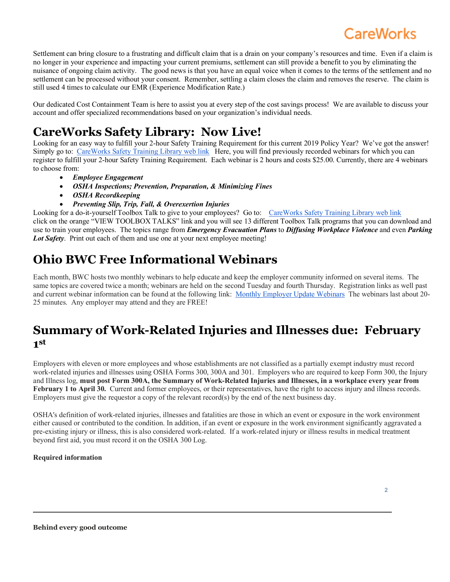# **CareWorks**

Settlement can bring closure to a frustrating and difficult claim that is a drain on your company's resources and time. Even if a claim is no longer in your experience and impacting your current premiums, settlement can still provide a benefit to you by eliminating the nuisance of ongoing claim activity. The good news is that you have an equal voice when it comes to the terms of the settlement and no settlement can be processed without your consent. Remember, settling a claim closes the claim and removes the reserve. The claim is still used 4 times to calculate our EMR (Experience Modification Rate.)

Our dedicated Cost Containment Team is here to assist you at every step of the cost savings process! We are available to discuss your account and offer specialized recommendations based on your organization's individual needs.

# **CareWorks Safety Library: Now Live!**

Looking for an easy way to fulfill your 2-hour Safety Training Requirement for this current 2019 Policy Year? We've got the answer! Simply go to: CareWorks Safety Training Library web link Here, you will find previously recorded webinars for which you can register to fulfill your 2-hour Safety Training Requirement. Each webinar is 2 hours and costs \$25.00. Currently, there are 4 webinars to choose from:

- *Employee Engagement*
- *OSHA Inspections; Prevention, Preparation, & Minimizing Fines*
- *OSHA Recordkeeping*
- *Preventing Slip, Trip, Fall, & Overexertion Injuries*

Looking for a do-it-yourself Toolbox Talk to give to your employees? Go to: CareWorks Safety Training Library web link click on the orange "VIEW TOOLBOX TALKS" link and you will see 13 different Toolbox Talk programs that you can download and use to train your employees. The topics range from *Emergency Evacuation Plans* to *Diffusing Workplace Violence* and even *Parking Lot Safety*. Print out each of them and use one at your next employee meeting!

## **Ohio BWC Free Informational Webinars**

Each month, BWC hosts two monthly webinars to help educate and keep the employer community informed on several items. The same topics are covered twice a month; webinars are held on the second Tuesday and fourth Thursday. Registration links as well past and current webinar information can be found at the following link: Monthly Employer Update Webinars The webinars last about 20- 25 minutes. Any employer may attend and they are FREE!

#### **Summary of Work-Related Injuries and Illnesses due: February 1st**

Employers with eleven or more employees and whose establishments are not classified as a partially exempt industry must record work-related injuries and illnesses using OSHA Forms 300, 300A and 301.Employers who are required to keep Form 300, the Injury and Illness log, **must post Form 300A, the Summary of Work-Related Injuries and Illnesses, in a workplace every year from**  February 1 to April 30. Current and former employees, or their representatives, have the right to access injury and illness records. Employers must give the requestor a copy of the relevant record(s) by the end of the next business day.

OSHA's definition of work-related injuries, illnesses and fatalities are those in which an event or exposure in the work environment either caused or contributed to the condition. In addition, if an event or exposure in the work environment significantly aggravated a pre-existing injury or illness, this is also considered work-related. If a work-related injury or illness results in medical treatment beyond first aid, you must record it on the OSHA 300 Log.

#### **Required information**